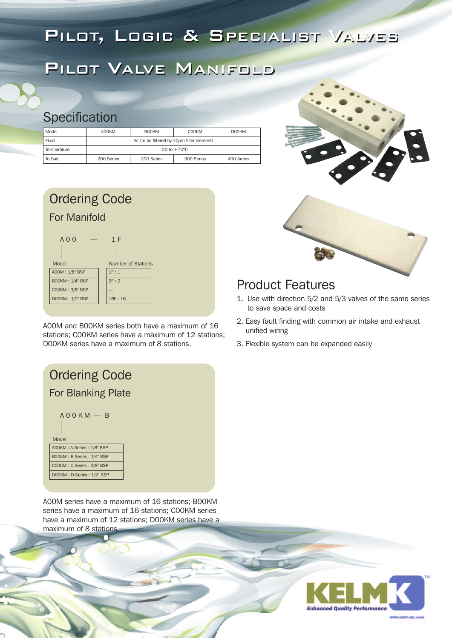## PILOT, LOGIC & SPECIALIST VALVES

## PILOT VALVE MANIFOLD

#### **Specification**

| Model       | AOOKM      | <b>BOOKM</b>                                     | COOKM                         | <b>DOOKM</b> |
|-------------|------------|--------------------------------------------------|-------------------------------|--------------|
| Fluid       |            | Air (to be filtered by $40\mu m$ filter element) |                               |              |
| Temperature |            |                                                  | $-20$ to $+70$ <sup>o</sup> C |              |
| To Suit     | 200 Series | 200 Series                                       | 300 Series                    | 400 Series   |

| <b>Ordering Code</b>     |                                  |
|--------------------------|----------------------------------|
| For Manifold             |                                  |
| $A \cap \Omega$<br>Model | 1 F<br><b>Number of Stations</b> |
| A00M: 1/8" BSP           | 1F:1                             |
| <b>BOOKM: 1/4" BSP</b>   | 2F:2                             |
| COOKM: 3/8" BSP          |                                  |
| DOOKM: 1/2" BSP          | 16F:16                           |

A00M and B00KM series both have a maximum of 16 stations; C00KM series have a maximum of 12 stations; D00KM series have a maximum of 8 stations.





#### Product Features

- 1. Use with direction 5/2 and 5/3 valves of the same series to save space and costs
- 2. Easy fault finding with common air intake and exhaust unified wiring
- 3. Flexible system can be expanded easily



A00M series have a maximum of 16 stations; B00KM series have a maximum of 16 stations; C00KM series have a maximum of 12 stations; D00KM series have a maximum of 8 stations.

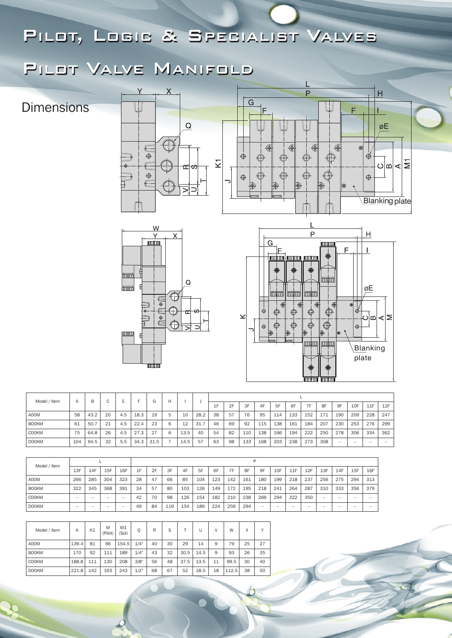### PILOT, LOGIC & SPECIALIST VALVES

## PILOT VALVE MANIFOLD

**Dimensions** 







øE

 $\overline{H}$ 

F

 $^{\circledR}$ 

 $\overrightarrow{A}$ 

 $\bigoplus$ 

 $\overline{\mathbb{Q}}$ 

<u>Blan</u>king plate

⊲่๒่⊲∣≅

| Model / Item | Α   | В    |    |     |      | $\sim$<br>G | H             |      |      |    |    |     |     |     |     |     |     |                          |     |                          |     |
|--------------|-----|------|----|-----|------|-------------|---------------|------|------|----|----|-----|-----|-----|-----|-----|-----|--------------------------|-----|--------------------------|-----|
|              |     |      | ◡  |     |      |             |               |      |      | 1F | 2F | 3F  | 4F  | 5F  | 6F  | 7F  | 8F  | 9F                       | 10F | 11F                      | 12F |
| A00M         | 58  | 43.2 | 20 | 4.5 | 18.3 | 19          | $\mathcal{D}$ | 10   | 28.2 | 38 | 57 | 76  | 95  | 114 | 133 | 152 | 171 | 190                      | 209 | 228                      | 247 |
| <b>BOOKM</b> | 61  | 50.7 | 21 | 4.5 | 22.4 | 23          | 6             | 12   | 31.7 | 46 | 69 | 92  | 115 | 138 | 161 | 184 | 207 | 230                      | 253 | 276                      | 299 |
| COOKM        | 75  | 64.8 | 26 | 4.5 | 27.3 | 27          | 6             | 13.5 | 40   | 54 | 82 | 110 | 138 | 166 | 194 | 222 | 250 | 278                      | 306 | 334                      | 362 |
| <b>DOOKM</b> | 104 | 94.5 | 32 | 5.5 | 34.3 | 31.5        |               | 14.5 | -57  | 63 | 98 | 133 | 168 | 203 | 238 | 273 | 308 | $\overline{\phantom{a}}$ | -   | $\overline{\phantom{a}}$ |     |

| Model / Item |                          |     |     |     | P  |    |     |     |     |     |     |     |                          |     |                          |     |     |                          |                          |     |
|--------------|--------------------------|-----|-----|-----|----|----|-----|-----|-----|-----|-----|-----|--------------------------|-----|--------------------------|-----|-----|--------------------------|--------------------------|-----|
|              | 13F                      | 14F | 15F | 16F | 1F | 2F | 3F  | 4F  | 5F  | 6F  | 7F  | 8F  | 9F                       | 10F | 11F                      | 12F | 13F | 14F                      | 15F                      | 16F |
| A00M         | 266                      | 285 | 304 | 323 | 28 | 47 | 66  | 85  | 104 | 123 | 142 | 161 | 180                      | 199 | 218                      | 237 | 256 | 275                      | 294                      | 313 |
| <b>BOOKM</b> | 322                      | 345 | 368 | 391 | 34 | 57 | 80  | 103 | 126 | 149 | 172 | 195 | 218                      | 241 | 264                      | 287 | 310 | 333                      | 356                      | 379 |
| <b>COOKM</b> | $\overline{\phantom{a}}$ | -   | -   | -   | 42 | 70 | 98  | 126 | 154 | 182 | 210 | 238 | 266                      | 294 | 322                      | 350 | -   | -                        | -                        |     |
| <b>DOOKM</b> | $\overline{\phantom{a}}$ | -   | -   | -   | 49 | 84 | 119 | 154 | 189 | 224 | 259 | 294 | $\overline{\phantom{a}}$ | -   | $\overline{\phantom{a}}$ | -   | -   | $\overline{\phantom{0}}$ | $\overline{\phantom{a}}$ |     |

| Model / Item | Κ     | K1  | M<br>(Pilot) | M1<br>Sol) | Q       | R  | S  |      |      |    | W     | Χ  | $\checkmark$ |
|--------------|-------|-----|--------------|------------|---------|----|----|------|------|----|-------|----|--------------|
| A00M         | 139.4 | 81  | 96           | 154.5      | 1/4"    | 40 | 30 | 29   | 14   | 9  | 79    | 25 | 27           |
| <b>BOOKM</b> | 170   | 92  | 111          | 189        | 1/4"    | 43 | 32 | 30.5 | 14.5 | 9  | 93    | 26 | 35           |
| <b>COOKM</b> | 188.8 | 111 | 130          | 208        | 3/8"    | 56 | 48 | 37.5 | 13.5 | 11 | 99.5  | 30 | 40           |
| <b>DOOKM</b> | 221.8 | 142 | 163          | 243        | $1/2$ " | 68 | 67 | 52   | 18.5 | 18 | 112.5 | 38 | 50           |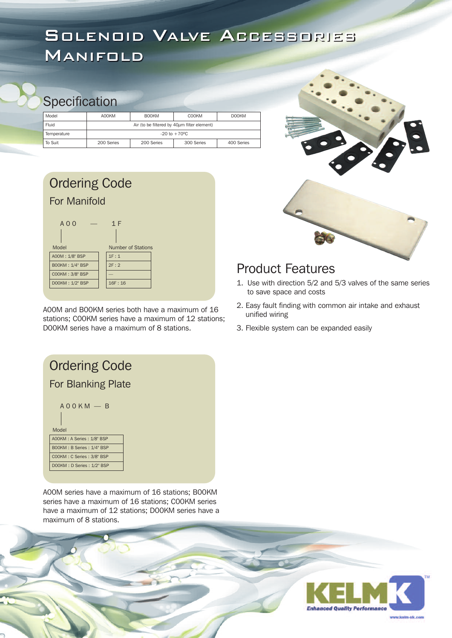## SOLENOID VALVE ACCESSORIES MANIFOLD

#### **Specification**

| Model       | A00KM      | <b>BOOKM</b>                                | <b>COOKM</b>             | <b>DOOKM</b> |
|-------------|------------|---------------------------------------------|--------------------------|--------------|
| Fluid       |            | Air (to be filtered by 40um filter element) |                          |              |
| Temperature |            |                                             | $-20$ to $+70^{\circ}$ C |              |
| l To Suit   | 200 Series | 200 Series                                  | 300 Series               | 400 Series   |

#### Ordering Code  $A 0 0 - 1 F$ Model Number of Stations A00M : 1/8" BSP B00KM : 1/4" BSP  $1F : 1$ 2F : 2 For Manifold

—  $16F : 16$ 

C00KM : 3/8" BSP D00KM : 1/2" BSP

A00M and B00KM series both have a maximum of 16 stations; C00KM series have a maximum of 12 stations; D00KM series have a maximum of 8 stations.



#### Product Features

- 1. Use with direction 5/2 and 5/3 valves of the same series to save space and costs
- 2. Easy fault finding with common air intake and exhaust unified wiring
- 3. Flexible system can be expanded easily

| <b>Ordering Code</b>      |
|---------------------------|
| <b>For Blanking Plate</b> |
| $A\cap OKM - B$<br>Model  |
| A00KM: A Series: 1/8" BSP |
| BOOKM: B Series: 1/4" BSP |
| COOKM: C Series: 3/8" BSP |
| DOOKM: D Series: 1/2" BSP |
|                           |

A00M series have a maximum of 16 stations; B00KM series have a maximum of 16 stations; C00KM series have a maximum of 12 stations; D00KM series have a maximum of 8 stations.